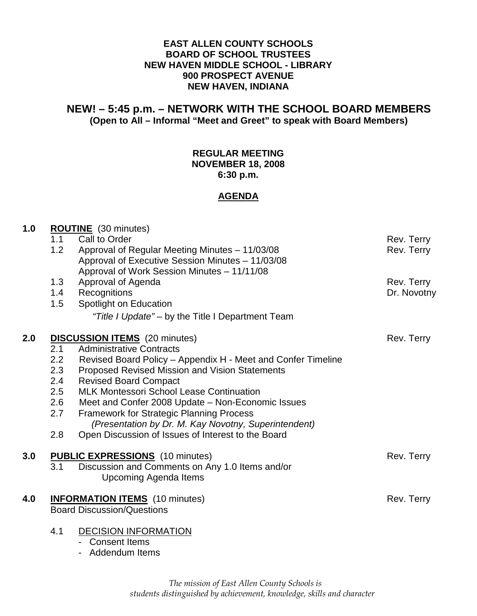## **EAST ALLEN COUNTY SCHOOLS BOARD OF SCHOOL TRUSTEES NEW HAVEN MIDDLE SCHOOL - LIBRARY 900 PROSPECT AVENUE NEW HAVEN, INDIANA**

## **NEW! – 5:45 p.m. – NETWORK WITH THE SCHOOL BOARD MEMBERS (Open to All – Informal "Meet and Greet" to speak with Board Members)**

## **REGULAR MEETING NOVEMBER 18, 2008 6:30 p.m.**

#### **AGENDA**

| 1.0 | <b>ROUTINE</b> (30 minutes)            |                                                              |             |
|-----|----------------------------------------|--------------------------------------------------------------|-------------|
|     | 1.1                                    | Call to Order                                                | Rev. Terry  |
|     | 1.2                                    | Approval of Regular Meeting Minutes - 11/03/08               | Rev. Terry  |
|     |                                        | Approval of Executive Session Minutes - 11/03/08             |             |
|     |                                        | Approval of Work Session Minutes - 11/11/08                  |             |
|     | 1.3                                    | Approval of Agenda                                           | Rev. Terry  |
|     | 1.4                                    | Recognitions                                                 | Dr. Novotny |
|     | 1.5                                    | Spotlight on Education                                       |             |
|     |                                        | "Title I Update" – by the Title I Department Team            |             |
| 2.0 | <b>DISCUSSION ITEMS</b> (20 minutes)   |                                                              | Rev. Terry  |
|     | 2.1                                    | <b>Administrative Contracts</b>                              |             |
|     | 2.2                                    | Revised Board Policy - Appendix H - Meet and Confer Timeline |             |
|     | 2.3                                    | Proposed Revised Mission and Vision Statements               |             |
|     | 2.4                                    | <b>Revised Board Compact</b>                                 |             |
|     | 2.5                                    | <b>MLK Montessori School Lease Continuation</b>              |             |
|     | 2.6                                    | Meet and Confer 2008 Update - Non-Economic Issues            |             |
|     | 2.7                                    | Framework for Strategic Planning Process                     |             |
|     |                                        | (Presentation by Dr. M. Kay Novotny, Superintendent)         |             |
|     | 2.8                                    | Open Discussion of Issues of Interest to the Board           |             |
| 3.0 | <b>PUBLIC EXPRESSIONS</b> (10 minutes) |                                                              | Rev. Terry  |
|     | 3.1                                    | Discussion and Comments on Any 1.0 Items and/or              |             |
|     |                                        | Upcoming Agenda Items                                        |             |
| 4.0 | <b>INFORMATION ITEMS</b> (10 minutes)  |                                                              | Rev. Terry  |
|     |                                        | <b>Board Discussion/Questions</b>                            |             |
|     | 4.1                                    | <b>DECISION INFORMATION</b>                                  |             |
|     |                                        | - Consent Items                                              |             |
|     |                                        | - Addendum Items                                             |             |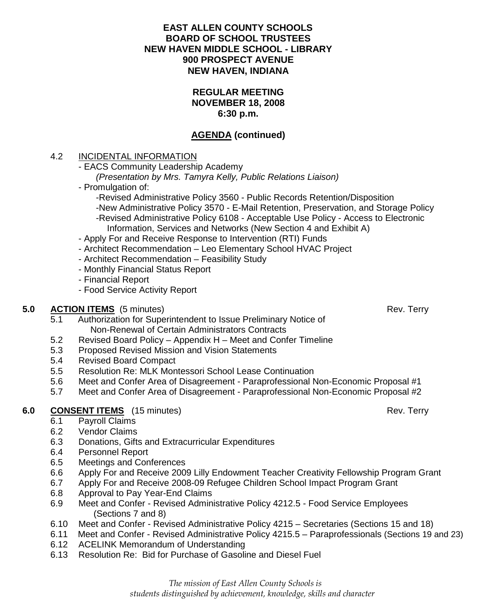## **EAST ALLEN COUNTY SCHOOLS BOARD OF SCHOOL TRUSTEES NEW HAVEN MIDDLE SCHOOL - LIBRARY 900 PROSPECT AVENUE NEW HAVEN, INDIANA**

#### **REGULAR MEETING NOVEMBER 18, 2008 6:30 p.m.**

# **AGENDA (continued)**

## 4.2 INCIDENTAL INFORMATION

- EACS Community Leadership Academy

(Presentation by Mrs. Tamyra Kelly, Public Relations Liaison)

- Promulgation of:
	- -Revised Administrative Policy 3560 Public Records Retention/Disposition
	- -New Administrative Policy 3570 E-Mail Retention, Preservation, and Storage Policy
	- -Revised Administrative Policy 6108 Acceptable Use Policy Access to Electronic Information, Services and Networks (New Section 4 and Exhibit A)
- Apply For and Receive Response to Intervention (RTI) Funds
- Architect Recommendation Leo Elementary School HVAC Project
- Architect Recommendation Feasibility Study
- Monthly Financial Status Report
- Financial Report
- Food Service Activity Report

## **5.0 ACTION ITEMS** (5 minutes) **Rev. Terry** Rev. Terry

- 5.1 Authorization for Superintendent to Issue Preliminary Notice of Non-Renewal of Certain Administrators Contracts
- 5.2 Revised Board Policy Appendix H Meet and Confer Timeline
- 5.3 Proposed Revised Mission and Vision Statements
- 5.4 Revised Board Compact
- 5.5 Resolution Re: MLK Montessori School Lease Continuation
- 5.6 Meet and Confer Area of Disagreement Paraprofessional Non-Economic Proposal #1
- 5.7 Meet and Confer Area of Disagreement Paraprofessional Non-Economic Proposal #2

# **6.0 CONSENT ITEMS** (15 minutes) Rev. Terry

- 6.1 Payroll Claims
- 6.2 Vendor Claims
- 6.3 Donations, Gifts and Extracurricular Expenditures
- 6.4 Personnel Report
- 6.5 Meetings and Conferences
- 6.6 Apply For and Receive 2009 Lilly Endowment Teacher Creativity Fellowship Program Grant
- 6.7 Apply For and Receive 2008-09 Refugee Children School Impact Program Grant
- 6.8 Approval to Pay Year-End Claims
- 6.9 Meet and Confer Revised Administrative Policy 4212.5 Food Service Employees (Sections 7 and 8)
- 6.10 Meet and Confer Revised Administrative Policy 4215 Secretaries (Sections 15 and 18)
- 6.11 Meet and Confer Revised Administrative Policy 4215.5 Paraprofessionals (Sections 19 and 23)
- 6.12 ACELINK Memorandum of Understanding
- 6.13 Resolution Re: Bid for Purchase of Gasoline and Diesel Fuel